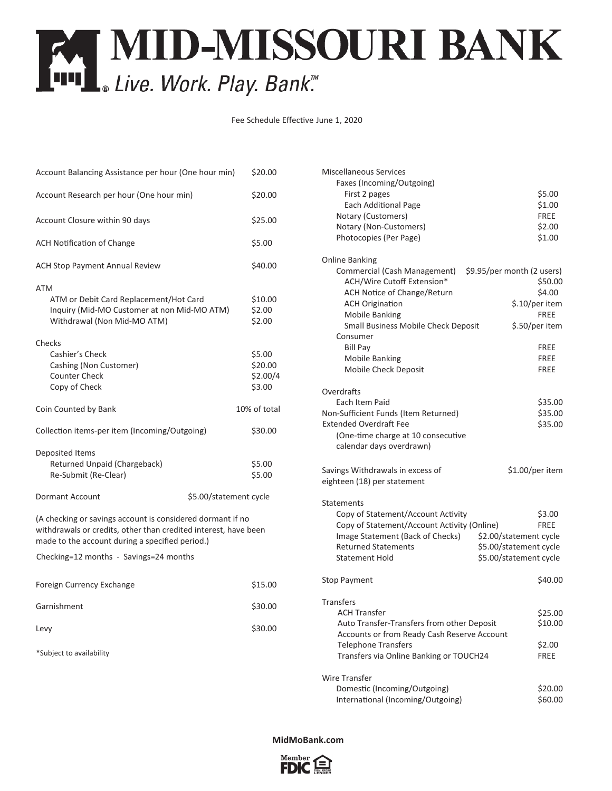## **EXT MID-MISSOURI BANK**<br>[111] Live. Work. Play. Bank."

Fee Schedule Effective June 1, 2020

|                                                                 | Fee Schedule Effective June 1, 2020 |                                                                                     |                                       |
|-----------------------------------------------------------------|-------------------------------------|-------------------------------------------------------------------------------------|---------------------------------------|
|                                                                 |                                     |                                                                                     |                                       |
| Account Balancing Assistance per hour (One hour min)            | \$20.00                             | <b>Miscellaneous Services</b><br>Faxes (Incoming/Outgoing)                          |                                       |
| Account Research per hour (One hour min)                        | \$20.00                             | First 2 pages<br>Each Additional Page                                               | \$5.00<br>\$1.00                      |
| Account Closure within 90 days                                  | \$25.00                             | Notary (Customers)<br>Notary (Non-Customers)                                        | <b>FREE</b><br>\$2.00                 |
| <b>ACH Notification of Change</b>                               | \$5.00                              | Photocopies (Per Page)                                                              | \$1.00                                |
| <b>ACH Stop Payment Annual Review</b>                           | \$40.00                             | <b>Online Banking</b><br>Commercial (Cash Management)<br>ACH/Wire Cutoff Extension* | \$9.95/per month (2 users)<br>\$50.00 |
| ATM                                                             |                                     | ACH Notice of Change/Return                                                         | \$4.00                                |
| ATM or Debit Card Replacement/Hot Card                          | \$10.00                             | <b>ACH Origination</b>                                                              | \$.10/per item                        |
| Inquiry (Mid-MO Customer at non Mid-MO ATM)                     | \$2.00                              | <b>Mobile Banking</b>                                                               | <b>FREE</b>                           |
| Withdrawal (Non Mid-MO ATM)                                     | \$2.00                              | Small Business Mobile Check Deposit                                                 | \$.50/per item                        |
|                                                                 |                                     | Consumer                                                                            |                                       |
| Checks                                                          |                                     | <b>Bill Pay</b>                                                                     | <b>FREE</b>                           |
| Cashier's Check                                                 | \$5.00                              | <b>Mobile Banking</b>                                                               | <b>FREE</b>                           |
| Cashing (Non Customer)                                          | \$20.00                             | Mobile Check Deposit                                                                | <b>FREE</b>                           |
| <b>Counter Check</b>                                            | \$2.00/4                            |                                                                                     |                                       |
| Copy of Check                                                   | \$3.00                              | Overdrafts                                                                          |                                       |
|                                                                 |                                     | Each Item Paid                                                                      | \$35.00                               |
| Coin Counted by Bank                                            | 10% of total                        | Non-Sufficient Funds (Item Returned)                                                | \$35.00                               |
|                                                                 |                                     | <b>Extended Overdraft Fee</b>                                                       | \$35.00                               |
| Collection items-per item (Incoming/Outgoing)                   | \$30.00                             | (One-time charge at 10 consecutive                                                  |                                       |
|                                                                 |                                     | calendar days overdrawn)                                                            |                                       |
| Deposited Items                                                 |                                     |                                                                                     |                                       |
| Returned Unpaid (Chargeback)<br>Re-Submit (Re-Clear)            | \$5.00<br>\$5.00                    | Savings Withdrawals in excess of                                                    | \$1.00/per item                       |
|                                                                 |                                     | eighteen (18) per statement                                                         |                                       |
| Dormant Account<br>\$5.00/statement cycle                       |                                     |                                                                                     |                                       |
|                                                                 |                                     | <b>Statements</b>                                                                   |                                       |
| (A checking or savings account is considered dormant if no      |                                     | Copy of Statement/Account Activity<br>Copy of Statement/Account Activity (Online)   | \$3.00                                |
| withdrawals or credits, other than credited interest, have been |                                     | Image Statement (Back of Checks)                                                    | <b>FREE</b><br>\$2.00/statement cycle |
| made to the account during a specified period.)                 |                                     | <b>Returned Statements</b>                                                          | \$5.00/statement cycle                |
| Checking=12 months - Savings=24 months                          |                                     | <b>Statement Hold</b>                                                               | \$5.00/statement cycle                |
|                                                                 |                                     |                                                                                     |                                       |
| Foreign Currency Exchange                                       | \$15.00                             | <b>Stop Payment</b>                                                                 | \$40.00                               |
| Garnishment                                                     | \$30.00                             | <b>Transfers</b>                                                                    |                                       |
|                                                                 |                                     | <b>ACH Transfer</b>                                                                 | \$25.00                               |
| Levy                                                            | \$30.00                             | Auto Transfer-Transfers from other Deposit                                          | \$10.00                               |
|                                                                 |                                     | Accounts or from Ready Cash Reserve Account                                         |                                       |
| *Subject to availability                                        |                                     | <b>Telephone Transfers</b>                                                          | \$2.00                                |
|                                                                 |                                     | Transfers via Online Banking or TOUCH24                                             | FREE                                  |
|                                                                 |                                     | <b>Wire Transfer</b>                                                                |                                       |
|                                                                 |                                     | Domestic (Incoming/Outgoing)                                                        | \$20.00                               |
|                                                                 |                                     | International (Incoming/Outgoing)                                                   | \$60.00                               |
|                                                                 |                                     |                                                                                     |                                       |
|                                                                 |                                     |                                                                                     |                                       |
|                                                                 |                                     | MidMoBank.com                                                                       |                                       |

| <b>Miscellaneous Services</b>                              |                                       |  |  |
|------------------------------------------------------------|---------------------------------------|--|--|
| Faxes (Incoming/Outgoing)                                  |                                       |  |  |
| First 2 pages                                              | \$5.00                                |  |  |
| <b>Each Additional Page</b>                                | \$1.00                                |  |  |
| Notary (Customers)                                         | <b>FREE</b>                           |  |  |
| Notary (Non-Customers)                                     | \$2.00                                |  |  |
| Photocopies (Per Page)                                     | \$1.00                                |  |  |
|                                                            |                                       |  |  |
| <b>Online Banking</b>                                      |                                       |  |  |
| Commercial (Cash Management)<br>ACH/Wire Cutoff Extension* | \$9.95/per month (2 users)<br>\$50.00 |  |  |
|                                                            | \$4.00                                |  |  |
| ACH Notice of Change/Return                                |                                       |  |  |
| <b>ACH Origination</b>                                     | \$.10/per item                        |  |  |
| <b>Mobile Banking</b>                                      | <b>FREE</b>                           |  |  |
| Small Business Mobile Check Deposit                        | \$.50/per item                        |  |  |
| Consumer                                                   |                                       |  |  |
| <b>Bill Pay</b>                                            | FREE                                  |  |  |
| <b>Mobile Banking</b>                                      | FREE                                  |  |  |
| Mobile Check Deposit                                       | FREE                                  |  |  |
| Overdrafts                                                 |                                       |  |  |
| Each Item Paid                                             | \$35.00                               |  |  |
| Non-Sufficient Funds (Item Returned)                       | \$35.00                               |  |  |
| <b>Extended Overdraft Fee</b>                              | \$35.00                               |  |  |
| (One-time charge at 10 consecutive                         |                                       |  |  |
| calendar days overdrawn)                                   |                                       |  |  |
| Savings Withdrawals in excess of                           | \$1.00/per item                       |  |  |
| eighteen (18) per statement                                |                                       |  |  |
|                                                            |                                       |  |  |
| <b>Statements</b>                                          |                                       |  |  |
| Copy of Statement/Account Activity                         | \$3.00                                |  |  |
| Copy of Statement/Account Activity (Online)                | <b>FREE</b>                           |  |  |
| Image Statement (Back of Checks)                           | \$2.00/statement cycle                |  |  |
| <b>Returned Statements</b>                                 | \$5.00/statement cycle                |  |  |
| Statement Hold                                             | \$5.00/statement cycle                |  |  |
| Stop Payment                                               | \$40.00                               |  |  |
| <b>Transfers</b>                                           |                                       |  |  |
| ACH Transfer                                               | \$25.00                               |  |  |
| Auto Transfer-Transfers from other Deposit                 |                                       |  |  |
| Accounts or from Ready Cash Reserve Account                | \$10.00                               |  |  |
| <b>Telephone Transfers</b>                                 | \$2.00                                |  |  |
| Transfers via Online Banking or TOUCH24                    | FREE                                  |  |  |
| Wire Transfer                                              |                                       |  |  |
| Domestic (Incoming/Outgoing)                               | \$20.00                               |  |  |
| International (Incoming/Outgoing)                          | \$60.00                               |  |  |

## **MidMoBank.com**